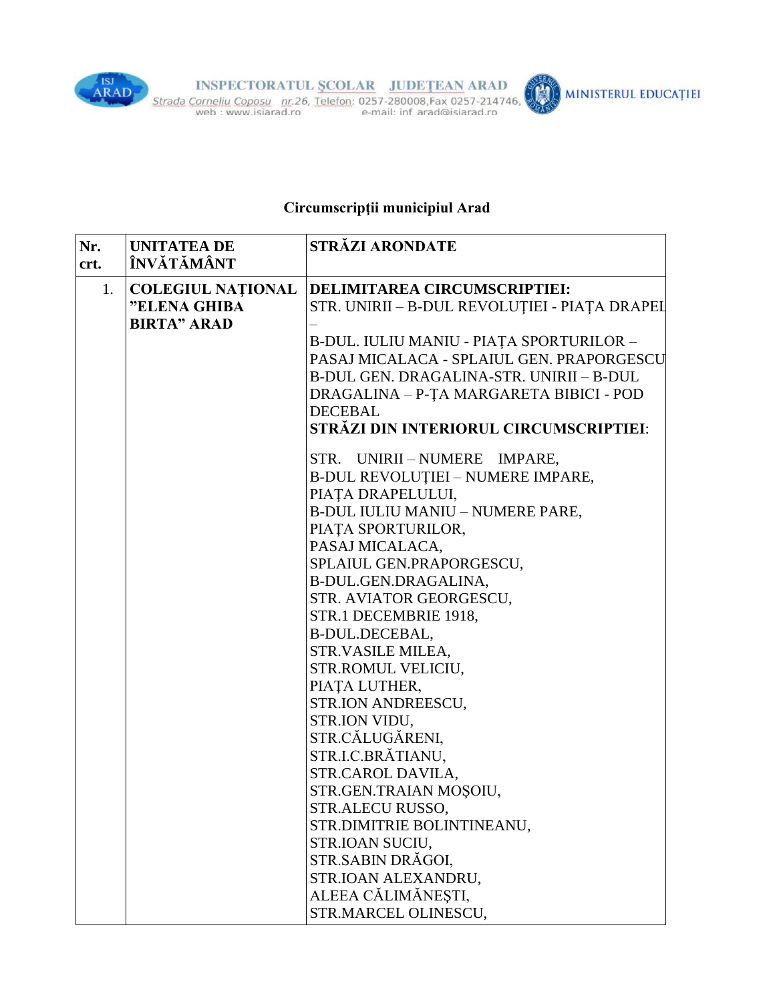

'n



## **Circumscripţii municipiul Arad**

| Nr.<br>crt. | <b>UNITATEA DE</b><br>ÎNVĂTĂMÂNT   | <b>STRĂZI ARONDATE</b>                        |
|-------------|------------------------------------|-----------------------------------------------|
| 1.          | <b>COLEGIUL NATIONAL</b>           | DELIMITAREA CIRCUMSCRIPTIEI:                  |
|             | "ELENA GHIBA<br><b>BIRTA" ARAD</b> | STR. UNIRII - B-DUL REVOLUȚIEI - PIAȚA DRAPEI |
|             |                                    | B-DUL. IULIU MANIU - PIAȚA SPORTURILOR -      |
|             |                                    | PASAJ MICALACA - SPLAIUL GEN. PRAPORGESCU     |
|             |                                    | B-DUL GEN. DRAGALINA-STR. UNIRII - B-DUL      |
|             |                                    | DRAGALINA - P-ȚA MARGARETA BIBICI - POD       |
|             |                                    | <b>DECEBAL</b>                                |
|             |                                    | STRĂZI DIN INTERIORUL CIRCUMSCRIPTIEI:        |
|             |                                    | STR. UNIRII-NUMERE IMPARE,                    |
|             |                                    | B-DUL REVOLUȚIEI – NUMERE IMPARE,             |
|             |                                    | PIATA DRAPELULUI,                             |
|             |                                    | <b>B-DUL IULIU MANIU - NUMERE PARE,</b>       |
|             |                                    | PIATA SPORTURILOR,                            |
|             |                                    | PASAJ MICALACA,                               |
|             |                                    | SPLAIUL GEN.PRAPORGESCU,                      |
|             |                                    | B-DUL.GEN.DRAGALINA,                          |
|             |                                    | STR. AVIATOR GEORGESCU,                       |
|             |                                    | STR.1 DECEMBRIE 1918,                         |
|             |                                    | B-DUL.DECEBAL,                                |
|             |                                    | STR.VASILE MILEA,                             |
|             |                                    | STR.ROMUL VELICIU,                            |
|             |                                    | PIATA LUTHER,                                 |
|             |                                    | STR.ION ANDREESCU,                            |
|             |                                    | STR.ION VIDU,                                 |
|             |                                    | STR.CĂLUGĂRENI,                               |
|             |                                    | STR.I.C.BRĂTIANU,                             |
|             |                                    | STR.CAROL DAVILA,                             |
|             |                                    | STR.GEN.TRAIAN MOȘOIU,                        |
|             |                                    | STR.ALECU RUSSO,                              |
|             |                                    | STR.DIMITRIE BOLINTINEANU,                    |
|             |                                    | STR.IOAN SUCIU,                               |
|             |                                    | STR.SABIN DRĂGOI,                             |
|             |                                    | STR.IOAN ALEXANDRU,                           |
|             |                                    | ALEEA CĂLIMĂNEȘTI,                            |
|             |                                    | STR.MARCEL OLINESCU,                          |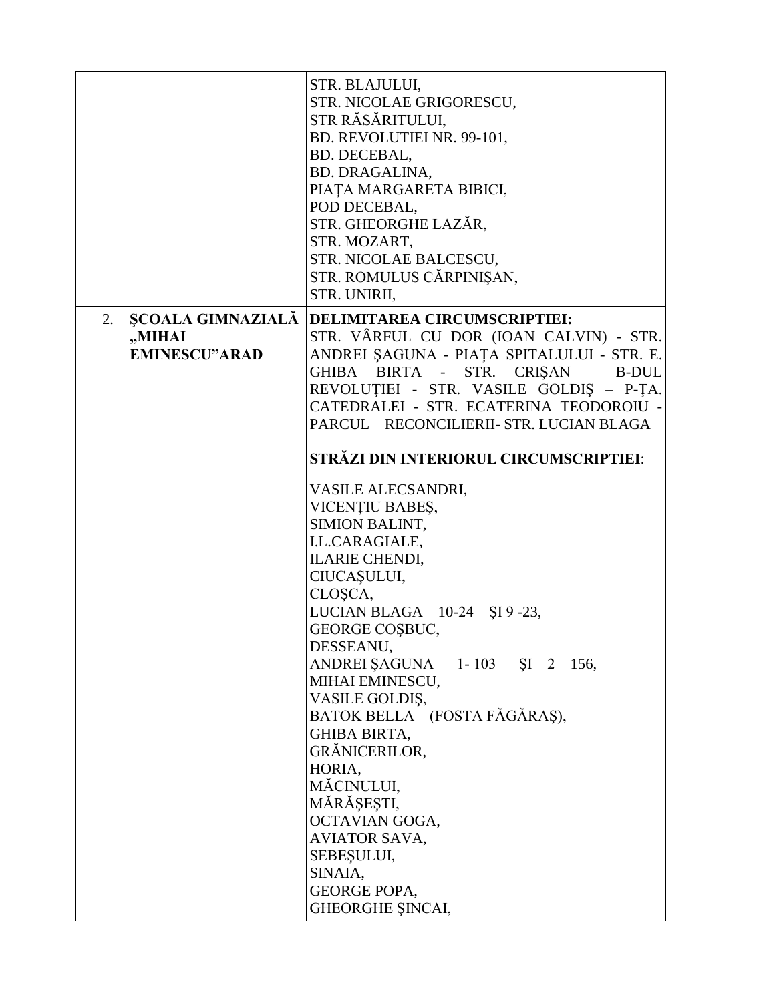|    |                                | STR. BLAJULUI,<br>STR. NICOLAE GRIGORESCU,<br>STR RĂSĂRITULUI,<br>BD. REVOLUTIEI NR. 99-101,<br>BD. DECEBAL,<br>BD. DRAGALINA,<br>PIAȚA MARGARETA BIBICI,<br>POD DECEBAL,<br>STR. GHEORGHE LAZĂR,<br>STR. MOZART,<br>STR. NICOLAE BALCESCU,<br>STR. ROMULUS CĂRPINIȘAN,<br>STR. UNIRII,                                                                                                                                                                                                                                                                                                                                                                                                                                             |
|----|--------------------------------|-------------------------------------------------------------------------------------------------------------------------------------------------------------------------------------------------------------------------------------------------------------------------------------------------------------------------------------------------------------------------------------------------------------------------------------------------------------------------------------------------------------------------------------------------------------------------------------------------------------------------------------------------------------------------------------------------------------------------------------|
| 2. | "MIHAI<br><b>EMINESCU"ARAD</b> | ȘCOALA GIMNAZIALĂ DELIMITAREA CIRCUMSCRIPTIEI:<br>STR. VÂRFUL CU DOR (IOAN CALVIN) - STR.<br>ANDREI ȘAGUNA - PIAȚA SPITALULUI - STR. E.<br>STR. CRIȘAN - B-DUL<br>GHIBA BIRTA -<br>REVOLUȚIEI - STR. VASILE GOLDIȘ - P-ȚA.<br>CATEDRALEI - STR. ECATERINA TEODOROIU -<br>PARCUL RECONCILIERII- STR. LUCIAN BLAGA<br>STRĂZI DIN INTERIORUL CIRCUMSCRIPTIEI:<br>VASILE ALECSANDRI,<br>VICENȚIU BABEȘ,<br>SIMION BALINT,<br>I.L.CARAGIALE,<br><b>ILARIE CHENDI,</b><br>CIUCAȘULUI,<br>CLOŞCA,<br>LUCIAN BLAGA 10-24 SI 9-23,<br>GEORGE COSBUC,<br>DESSEANU,<br>ANDREI ȘAGUNA $1-103$ ȘI $2-156$ ,<br>MIHAI EMINESCU,<br>VASILE GOLDIŞ,<br>BATOK BELLA (FOSTA FĂGĂRAȘ),<br><b>GHIBA BIRTA,</b><br>GRĂNICERILOR,<br>HORIA,<br>MĂCINULUI, |
|    |                                | MĂRĂȘEȘTI,<br>OCTAVIAN GOGA,<br><b>AVIATOR SAVA,</b><br>SEBEŞULUI,<br>SINAIA,<br><b>GEORGE POPA,</b><br><b>GHEORGHE SINCAI,</b>                                                                                                                                                                                                                                                                                                                                                                                                                                                                                                                                                                                                     |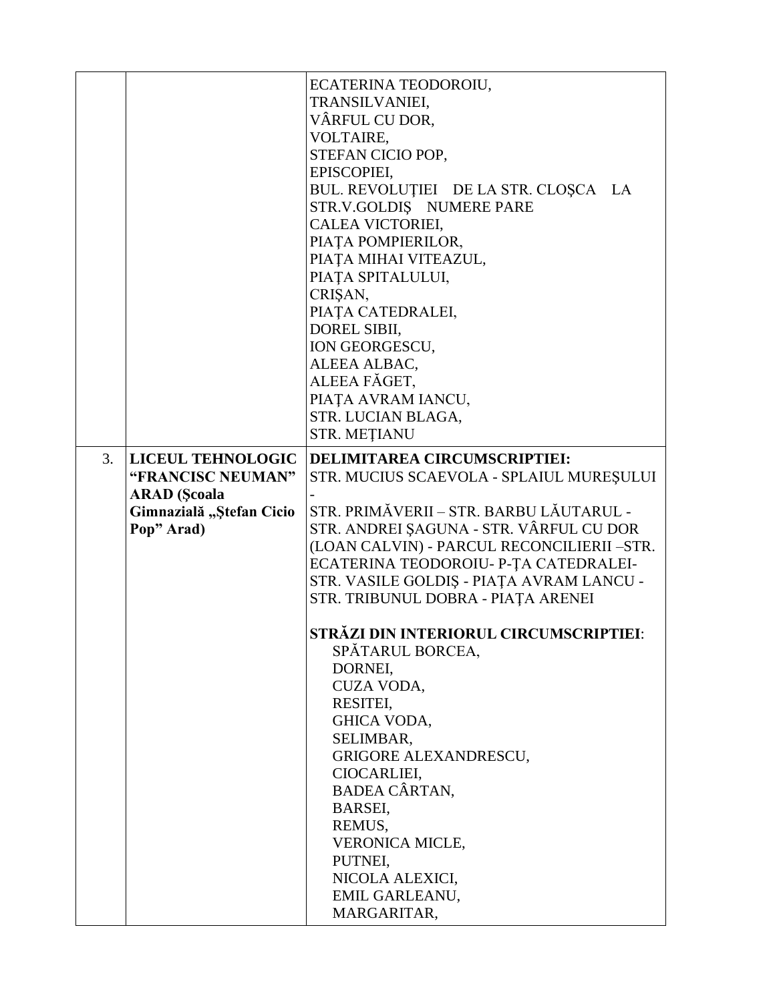|    |                                                                                                                | ECATERINA TEODOROIU,<br>TRANSILVANIEI,<br>VÂRFUL CU DOR,<br>VOLTAIRE,<br>STEFAN CICIO POP,<br>EPISCOPIEI,<br>BUL. REVOLUȚIEI DE LA STR. CLOȘCA LA<br>STR.V.GOLDIŞ NUMERE PARE<br>CALEA VICTORIEI,<br>PIATA POMPIERILOR,<br>PIAȚA MIHAI VITEAZUL,<br>PIAȚA SPITALULUI,<br>CRIŞAN,<br>PIAȚA CATEDRALEI,<br>DOREL SIBII,<br>ION GEORGESCU,<br>ALEEA ALBAC,<br>ALEEA FĂGET,<br>PIAȚA AVRAM IANCU,<br>STR. LUCIAN BLAGA,<br><b>STR. METIANU</b>                                                                                                                                                                                                                  |
|----|----------------------------------------------------------------------------------------------------------------|-------------------------------------------------------------------------------------------------------------------------------------------------------------------------------------------------------------------------------------------------------------------------------------------------------------------------------------------------------------------------------------------------------------------------------------------------------------------------------------------------------------------------------------------------------------------------------------------------------------------------------------------------------------|
| 3. | <b>LICEUL TEHNOLOGIC</b><br>"FRANCISC NEUMAN"<br><b>ARAD</b> (Scoala<br>Gimnazială "Ștefan Cicio<br>Pop" Arad) | DELIMITAREA CIRCUMSCRIPTIEI:<br>STR. MUCIUS SCAEVOLA - SPLAIUL MUREȘULUI<br>STR. PRIMĂVERII – STR. BARBU LĂUTARUL -<br>STR. ANDREI ȘAGUNA - STR. VÂRFUL CU DOR<br>(LOAN CALVIN) - PARCUL RECONCILIERII -STR.<br>ECATERINA TEODOROIU- P-ȚA CATEDRALEI-<br>STR. VASILE GOLDIȘ - PIAȚA AVRAM LANCU -<br>STR. TRIBUNUL DOBRA - PIAȚA ARENEI<br>STRĂZI DIN INTERIORUL CIRCUMSCRIPTIEI:<br>SPĂTARUL BORCEA,<br>DORNEI,<br>CUZA VODA,<br>RESITEI,<br>GHICA VODA,<br>SELIMBAR,<br><b>GRIGORE ALEXANDRESCU,</b><br>CIOCARLIEI,<br><b>BADEA CÂRTAN,</b><br>BARSEI,<br>REMUS,<br><b>VERONICA MICLE,</b><br>PUTNEI,<br>NICOLA ALEXICI,<br>EMIL GARLEANU,<br>MARGARITAR, |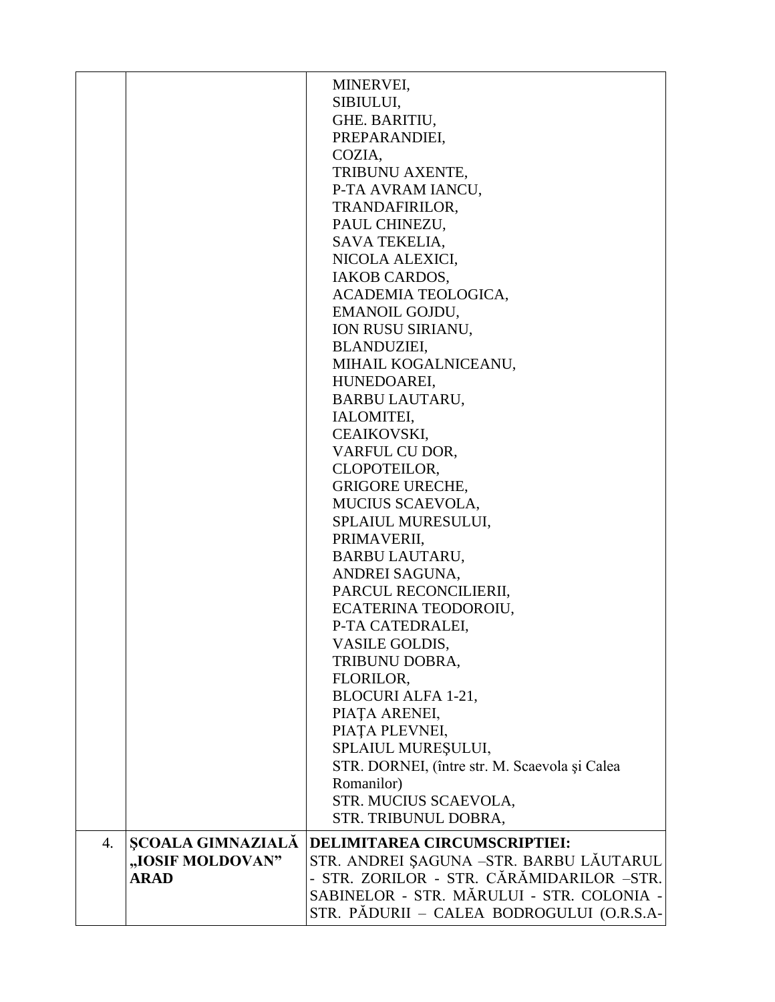|                  |                          | MINERVEI,<br>SIBIULUI,                        |
|------------------|--------------------------|-----------------------------------------------|
|                  |                          | GHE. BARITIU,                                 |
|                  |                          | PREPARANDIEI,                                 |
|                  |                          | COZIA.                                        |
|                  |                          | TRIBUNU AXENTE,                               |
|                  |                          | P-TA AVRAM IANCU,                             |
|                  |                          | TRANDAFIRILOR,                                |
|                  |                          | PAUL CHINEZU,                                 |
|                  |                          | SAVA TEKELIA,                                 |
|                  |                          | NICOLA ALEXICI,                               |
|                  |                          | <b>IAKOB CARDOS,</b>                          |
|                  |                          | ACADEMIA TEOLOGICA,                           |
|                  |                          | EMANOIL GOJDU,                                |
|                  |                          | ION RUSU SIRIANU,                             |
|                  |                          | <b>BLANDUZIEI,</b>                            |
|                  |                          | MIHAIL KOGALNICEANU,                          |
|                  |                          | HUNEDOAREI,                                   |
|                  |                          | <b>BARBU LAUTARU,</b>                         |
|                  |                          | IALOMITEI,                                    |
|                  |                          | CEAIKOVSKI,                                   |
|                  |                          | VARFUL CU DOR,                                |
|                  |                          | CLOPOTEILOR,                                  |
|                  |                          | <b>GRIGORE URECHE,</b><br>MUCIUS SCAEVOLA,    |
|                  |                          | SPLAIUL MURESULUI,                            |
|                  |                          | PRIMAVERII,                                   |
|                  |                          | <b>BARBU LAUTARU,</b>                         |
|                  |                          | ANDREI SAGUNA,                                |
|                  |                          | PARCUL RECONCILIERII,                         |
|                  |                          | ECATERINA TEODOROIU,                          |
|                  |                          | P-TA CATEDRALEI,                              |
|                  |                          | VASILE GOLDIS,                                |
|                  |                          | TRIBUNU DOBRA,                                |
|                  |                          | FLORILOR,                                     |
|                  |                          | <b>BLOCURI ALFA 1-21,</b>                     |
|                  |                          | PIAȚA ARENEI,                                 |
|                  |                          | PIAȚA PLEVNEI,                                |
|                  |                          | SPLAIUL MUREȘULUI,                            |
|                  |                          | STR. DORNEI, (între str. M. Scaevola și Calea |
|                  |                          | Romanilor)                                    |
|                  |                          | STR. MUCIUS SCAEVOLA,                         |
|                  |                          | STR. TRIBUNUL DOBRA,                          |
| $\overline{4}$ . | <b>SCOALA GIMNAZIALA</b> | DELIMITAREA CIRCUMSCRIPTIEI:                  |
|                  | "IOSIF MOLDOVAN"         | STR. ANDREI ȘAGUNA –STR. BARBU LĂUTARUL       |
|                  | <b>ARAD</b>              | - STR. ZORILOR - STR. CĂRĂMIDARILOR -STR.     |
|                  |                          | SABINELOR - STR. MĂRULUI - STR. COLONIA -     |
|                  |                          | STR. PĂDURII - CALEA BODROGULUI (O.R.S.A-     |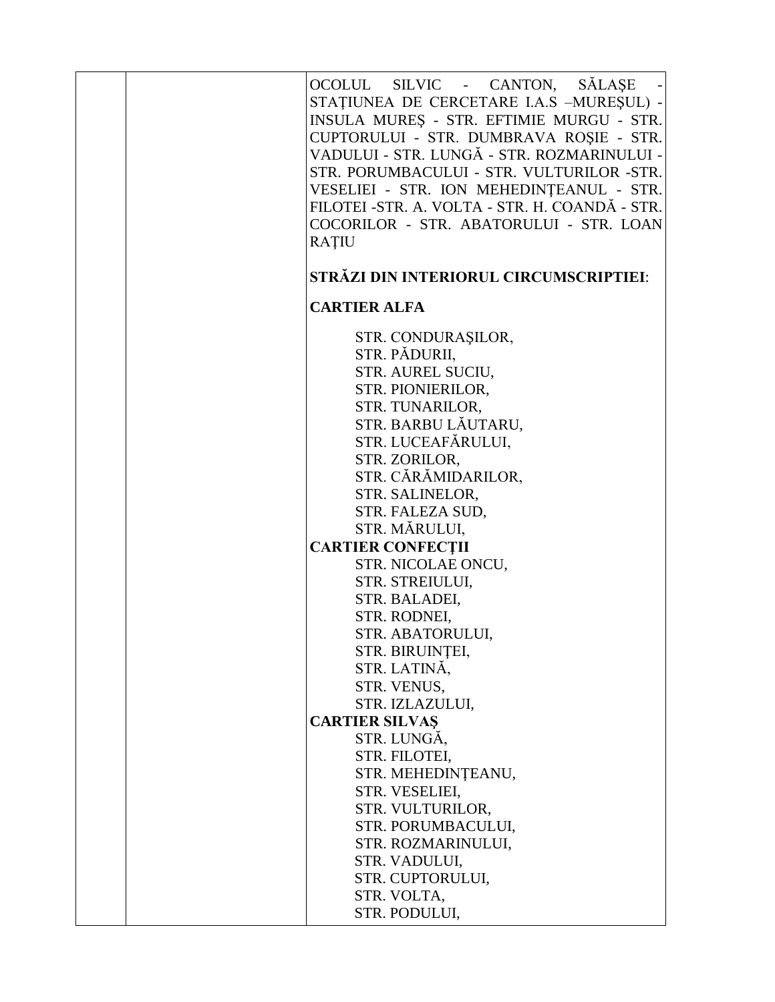| OCOLUL SILVIC - CANTON, SĂLAȘE                 |
|------------------------------------------------|
| STAȚIUNEA DE CERCETARE I.A.S -MUREȘUL) -       |
| INSULA MUREȘ - STR. EFTIMIE MURGU - STR.       |
| CUPTORULUI - STR. DUMBRAVA ROȘIE - STR.        |
| VADULUI - STR. LUNGĂ - STR. ROZMARINULUI -     |
|                                                |
| STR. PORUMBACULUI - STR. VULTURILOR -STR.      |
| VESELIEI - STR. ION MEHEDINȚEANUL - STR.       |
| FILOTEI -STR. A. VOLTA - STR. H. COANDĂ - STR. |
| COCORILOR - STR. ABATORULUI - STR. LOAN        |
| <b>RATIU</b>                                   |
| STRĂZI DIN INTERIORUL CIRCUMSCRIPTIEI:         |
| <b>CARTIER ALFA</b>                            |
| STR. CONDURAȘILOR,                             |
| STR. PĂDURII,                                  |
| STR. AUREL SUCIU,                              |
| STR. PIONIERILOR,                              |
| STR. TUNARILOR,                                |
| STR. BARBU LĂUTARU,                            |
| STR. LUCEAFĂRULUI,                             |
| STR. ZORILOR,                                  |
| STR. CĂRĂMIDARILOR,                            |
| STR. SALINELOR,                                |
| STR. FALEZA SUD,                               |
| STR. MĂRULUI,                                  |
| <b>CARTIER CONFECTII</b>                       |
| STR. NICOLAE ONCU,                             |
| STR. STREIULUI,                                |
| STR. BALADEI,                                  |
| STR. RODNEI,                                   |
| STR. ABATORULUI,                               |
| STR. BIRUINȚEI,                                |
| STR. LATINĂ,                                   |
|                                                |
| STR. VENUS,                                    |
| STR. IZLAZULUI,                                |
| <b>CARTIER SILVAS</b>                          |
| STR. LUNGĂ,                                    |
| STR. FILOTEI,                                  |
| STR. MEHEDINTEANU,                             |
| STR. VESELIEI,                                 |
| STR. VULTURILOR,                               |
| STR. PORUMBACULUI,                             |
| STR. ROZMARINULUI,                             |
| STR. VADULUI,                                  |
| STR. CUPTORULUI,                               |
| STR. VOLTA,                                    |
| STR. PODULUI,                                  |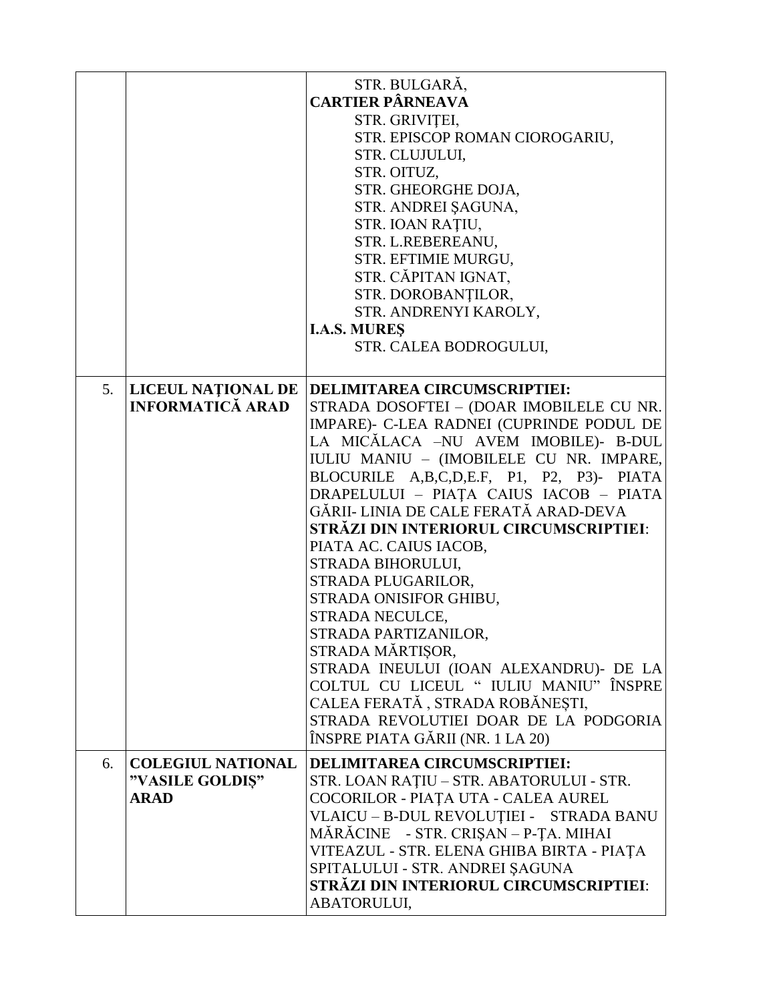|    |                                                            | STR. BULGARĂ,<br><b>CARTIER PÂRNEAVA</b><br>STR. GRIVIȚEI,<br>STR. EPISCOP ROMAN CIOROGARIU,<br>STR. CLUJULUI,<br>STR. OITUZ,<br>STR. GHEORGHE DOJA,<br>STR. ANDREI SAGUNA,<br>STR. IOAN RAȚIU,<br>STR. L.REBEREANU,<br>STR. EFTIMIE MURGU,<br>STR. CĂPITAN IGNAT,<br>STR. DOROBANȚILOR,<br>STR. ANDRENYI KAROLY,<br><b>I.A.S. MURES</b>                                                                                                                                                                                                                                                                                                                                                                                                            |
|----|------------------------------------------------------------|-----------------------------------------------------------------------------------------------------------------------------------------------------------------------------------------------------------------------------------------------------------------------------------------------------------------------------------------------------------------------------------------------------------------------------------------------------------------------------------------------------------------------------------------------------------------------------------------------------------------------------------------------------------------------------------------------------------------------------------------------------|
|    |                                                            | STR. CALEA BODROGULUI,                                                                                                                                                                                                                                                                                                                                                                                                                                                                                                                                                                                                                                                                                                                              |
| 5. | <b>LICEUL NATIONAL DE</b><br><b>INFORMATICĂ ARAD</b>       | DELIMITAREA CIRCUMSCRIPTIEI:<br>STRADA DOSOFTEI - (DOAR IMOBILELE CU NR.<br>IMPARE)- C-LEA RADNEI (CUPRINDE PODUL DE<br>LA MICĂLACA –NU AVEM IMOBILE)- B-DUL<br>IULIU MANIU - (IMOBILELE CU NR. IMPARE,<br>BLOCURILE A,B,C,D,E.F, P1, P2, P3)- PIATA<br>DRAPELULUI - PIAȚA CAIUS IACOB - PIATA<br>GĂRII- LINIA DE CALE FERATĂ ARAD-DEVA<br>STRĂZI DIN INTERIORUL CIRCUMSCRIPTIEI:<br>PIATA AC. CAIUS IACOB,<br>STRADA BIHORULUI,<br>STRADA PLUGARILOR,<br>STRADA ONISIFOR GHIBU,<br>STRADA NECULCE,<br>STRADA PARTIZANILOR,<br>STRADA MĂRTIȘOR,<br>STRADA INEULUI (IOAN ALEXANDRU)- DE LA<br>COLTUL CU LICEUL " IULIU MANIU" ÎNSPRE<br>CALEA FERATĂ, STRADA ROBĂNEȘTI,<br>STRADA REVOLUTIEI DOAR DE LA PODGORIA<br>ÎNSPRE PIATA GĂRII (NR. 1 LA 20) |
| 6. | <b>COLEGIUL NATIONAL</b><br>"VASILE GOLDIŞ"<br><b>ARAD</b> | DELIMITAREA CIRCUMSCRIPTIEI:<br>STR. LOAN RAȚIU - STR. ABATORULUI - STR.<br>COCORILOR - PIAȚA UTA - CALEA AUREL<br>VLAICU - B-DUL REVOLUȚIEI - STRADA BANU<br>MĂRĂCINE - STR. CRIȘAN – P-ȚA. MIHAI<br>VITEAZUL - STR. ELENA GHIBA BIRTA - PIAȚA<br>SPITALULUI - STR. ANDREI ȘAGUNA<br>STRĂZI DIN INTERIORUL CIRCUMSCRIPTIEI:<br>ABATORULUI,                                                                                                                                                                                                                                                                                                                                                                                                         |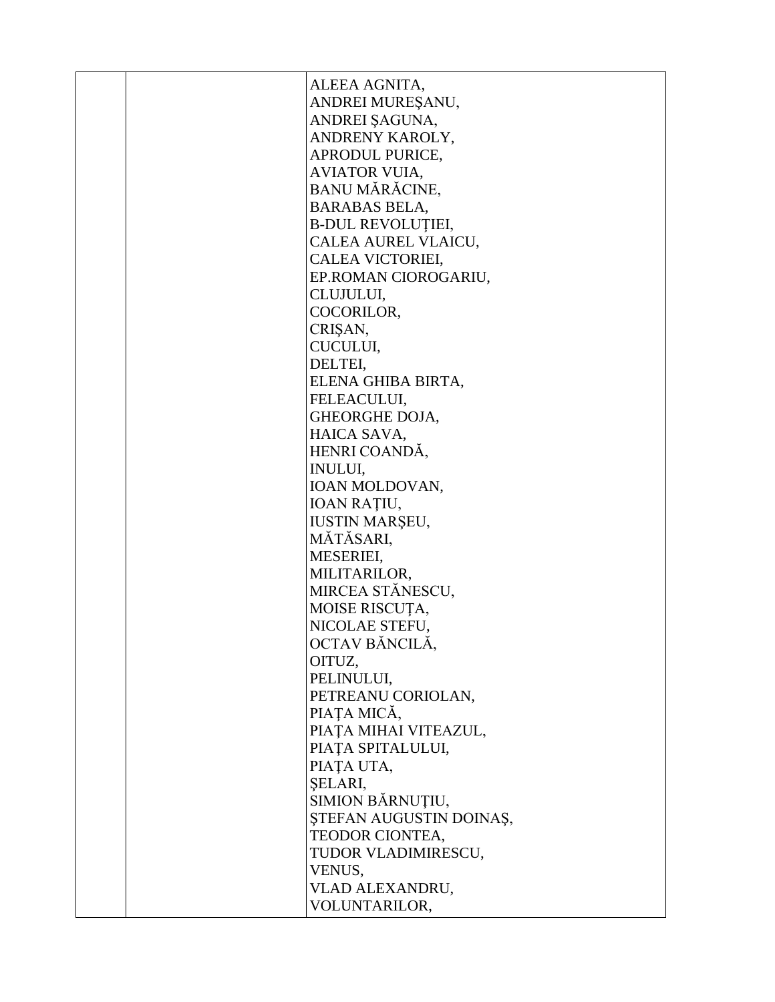|  | ALEEA AGNITA,            |
|--|--------------------------|
|  | ANDREI MUREȘANU,         |
|  | ANDREI ȘAGUNA,           |
|  | ANDRENY KAROLY,          |
|  | <b>APRODUL PURICE,</b>   |
|  | <b>AVIATOR VUIA,</b>     |
|  | BANU MĂRĂCINE,           |
|  | <b>BARABAS BELA,</b>     |
|  | <b>B-DUL REVOLUȚIEI,</b> |
|  | CALEA AUREL VLAICU,      |
|  |                          |
|  | CALEA VICTORIEI,         |
|  | EP.ROMAN CIOROGARIU,     |
|  | CLUJULUI,                |
|  | COCORILOR,               |
|  | CRIŞAN,                  |
|  | CUCULUI,                 |
|  | DELTEI,                  |
|  | ELENA GHIBA BIRTA,       |
|  | FELEACULUI,              |
|  | GHEORGHE DOJA,           |
|  | HAICA SAVA,              |
|  | HENRI COANDĂ,            |
|  | <b>INULUI,</b>           |
|  | IOAN MOLDOVAN,           |
|  | <b>IOAN RAȚIU,</b>       |
|  | <b>IUSTIN MARŞEU,</b>    |
|  | MĂTĂSARI,                |
|  | MESERIEI,                |
|  | MILITARILOR,             |
|  | MIRCEA STĂNESCU,         |
|  | MOISE RISCUȚA,           |
|  | NICOLAE STEFU,           |
|  | OCTAV BĂNCILĂ,           |
|  | OITUZ,                   |
|  | PELINULUI,               |
|  | PETREANU CORIOLAN,       |
|  | PIAȚA MICĂ,              |
|  | PIAȚA MIHAI VITEAZUL,    |
|  | PIAȚA SPITALULUI,        |
|  | PIAȚA UTA,               |
|  | ŞELARI,                  |
|  | SIMION BĂRNUȚIU,         |
|  | ŞTEFAN AUGUSTIN DOINAŞ,  |
|  | TEODOR CIONTEA,          |
|  | TUDOR VLADIMIRESCU,      |
|  | VENUS,                   |
|  | VLAD ALEXANDRU,          |
|  | VOLUNTARILOR,            |
|  |                          |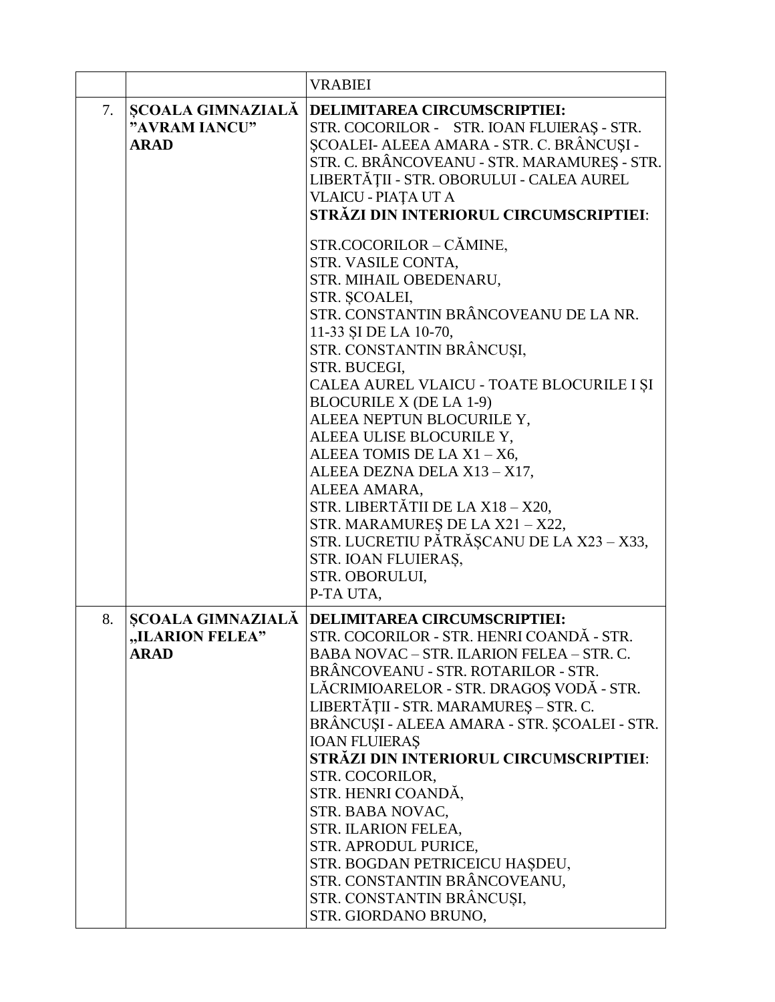|    |                                                     | <b>VRABIEI</b>                                                                                                                                                                                                                                                                                                                                                                                                                                                                                                                                                                                         |
|----|-----------------------------------------------------|--------------------------------------------------------------------------------------------------------------------------------------------------------------------------------------------------------------------------------------------------------------------------------------------------------------------------------------------------------------------------------------------------------------------------------------------------------------------------------------------------------------------------------------------------------------------------------------------------------|
| 7. | ȘCOALA GIMNAZIALĂ<br>"AVRAM IANCU"<br><b>ARAD</b>   | DELIMITAREA CIRCUMSCRIPTIEI:<br>STR. COCORILOR - STR. IOAN FLUIERAȘ - STR.<br>ȘCOALEI- ALEEA AMARA - STR. C. BRÂNCUȘI -<br>STR. C. BRÂNCOVEANU - STR. MARAMUREȘ - STR.<br>LIBERTĂȚII - STR. OBORULUI - CALEA AUREL<br>VLAICU - PIAȚA UT A<br>STRĂZI DIN INTERIORUL CIRCUMSCRIPTIEI:                                                                                                                                                                                                                                                                                                                    |
|    |                                                     | STR.COCORILOR - CĂMINE,<br>STR. VASILE CONTA,<br>STR. MIHAIL OBEDENARU,<br>STR. SCOALEI,<br>STR. CONSTANTIN BRÂNCOVEANU DE LA NR.<br>11-33 ȘI DE LA 10-70,<br>STR. CONSTANTIN BRÂNCUȘI,<br>STR. BUCEGI,<br>CALEA AUREL VLAICU - TOATE BLOCURILE I ȘI<br><b>BLOCURILE X (DE LA 1-9)</b><br>ALEEA NEPTUN BLOCURILE Y,<br>ALEEA ULISE BLOCURILE Y,<br>ALEEA TOMIS DE LA X1 - X6,<br>ALEEA DEZNA DELA X13 - X17,<br>ALEEA AMARA,<br>STR. LIBERTĂTII DE LA X18 - X20,<br>STR. MARAMURES DE LA X21 - X22,<br>STR. LUCRETIU PĂTRĂȘCANU DE LA X23 - X33,<br>STR. IOAN FLUIERAȘ,<br>STR. OBORULUI,<br>P-TA UTA, |
| 8. | ȘCOALA GIMNAZIALĂ<br>"ILARION FELEA"<br><b>ARAD</b> | DELIMITAREA CIRCUMSCRIPTIEI:<br>STR. COCORILOR - STR. HENRI COANDĂ - STR<br>BABA NOVAC - STR. ILARION FELEA - STR. C.<br>BRÂNCOVEANU - STR. ROTARILOR - STR.<br>LĂCRIMIOARELOR - STR. DRAGOȘ VODĂ - STR.<br>LIBERTĂȚII - STR. MARAMUREȘ - STR. C.<br>BRÂNCUȘI - ALEEA AMARA - STR. ȘCOALEI - STR.<br><b>IOAN FLUIERAS</b><br>STRĂZI DIN INTERIORUL CIRCUMSCRIPTIEI:<br>STR. COCORILOR,<br>STR. HENRI COANDĂ,<br>STR. BABA NOVAC,<br>STR. ILARION FELEA,<br>STR. APRODUL PURICE,<br>STR. BOGDAN PETRICEICU HAȘDEU,<br>STR. CONSTANTIN BRÂNCOVEANU,<br>STR. CONSTANTIN BRÂNCUȘI,<br>STR. GIORDANO BRUNO, |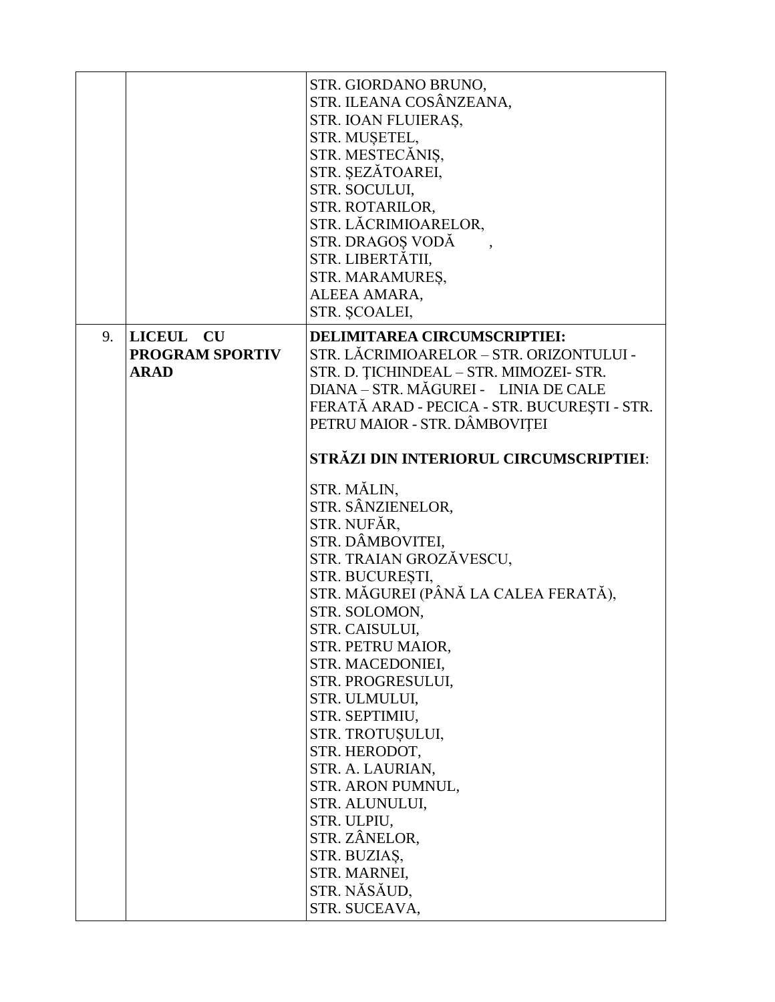|    |                                             | STR. GIORDANO BRUNO,<br>STR. ILEANA COSÂNZEANA,<br>STR. IOAN FLUIERAS,<br>STR. MUŞETEL,<br>STR. MESTECĂNIȘ,<br>STR. ȘEZĂTOAREI,<br>STR. SOCULUI,<br>STR. ROTARILOR,<br>STR. LĂCRIMIOARELOR,<br>STR. DRAGOS VODĂ<br>STR. LIBERTĂTII,<br>STR. MARAMURES,<br>ALEEA AMARA,<br>STR. SCOALEI,                                                                                                                                                                                                                                                                                                        |
|----|---------------------------------------------|------------------------------------------------------------------------------------------------------------------------------------------------------------------------------------------------------------------------------------------------------------------------------------------------------------------------------------------------------------------------------------------------------------------------------------------------------------------------------------------------------------------------------------------------------------------------------------------------|
| 9. | LICEUL CU<br>PROGRAM SPORTIV<br><b>ARAD</b> | <b>DELIMITAREA CIRCUMSCRIPTIEI:</b><br>STR. LĂCRIMIOARELOR - STR. ORIZONTULUI -<br>STR. D. ȚICHINDEAL - STR. MIMOZEI- STR.<br>DIANA - STR. MĂGUREI - LINIA DE CALE<br>FERATĂ ARAD - PECICA - STR. BUCUREȘTI - STR.<br>PETRU MAIOR - STR. DÂMBOVIȚEI<br>STRĂZI DIN INTERIORUL CIRCUMSCRIPTIEI:<br>STR. MĂLIN,<br>STR. SÂNZIENELOR,<br>STR. NUFĂR,<br>STR. DÂMBOVITEI,<br>STR. TRAIAN GROZĂVESCU,<br>STR. BUCUREȘTI,<br>STR. MĂGUREI (PÂNĂ LA CALEA FERATĂ),<br>STR. SOLOMON,<br>STR. CAISULUI,<br>STR. PETRU MAIOR,<br>STR. MACEDONIEI,<br>STR. PROGRESULUI,<br>STR. ULMULUI,<br>STR. SEPTIMIU, |
|    |                                             | STR. TROTUȘULUI,<br>STR. HERODOT,<br>STR. A. LAURIAN,<br>STR. ARON PUMNUL,<br>STR. ALUNULUI,<br>STR. ULPIU,<br>STR. ZÂNELOR,<br>STR. BUZIAS,<br>STR. MARNEI,<br>STR. NĂSĂUD,<br>STR. SUCEAVA,                                                                                                                                                                                                                                                                                                                                                                                                  |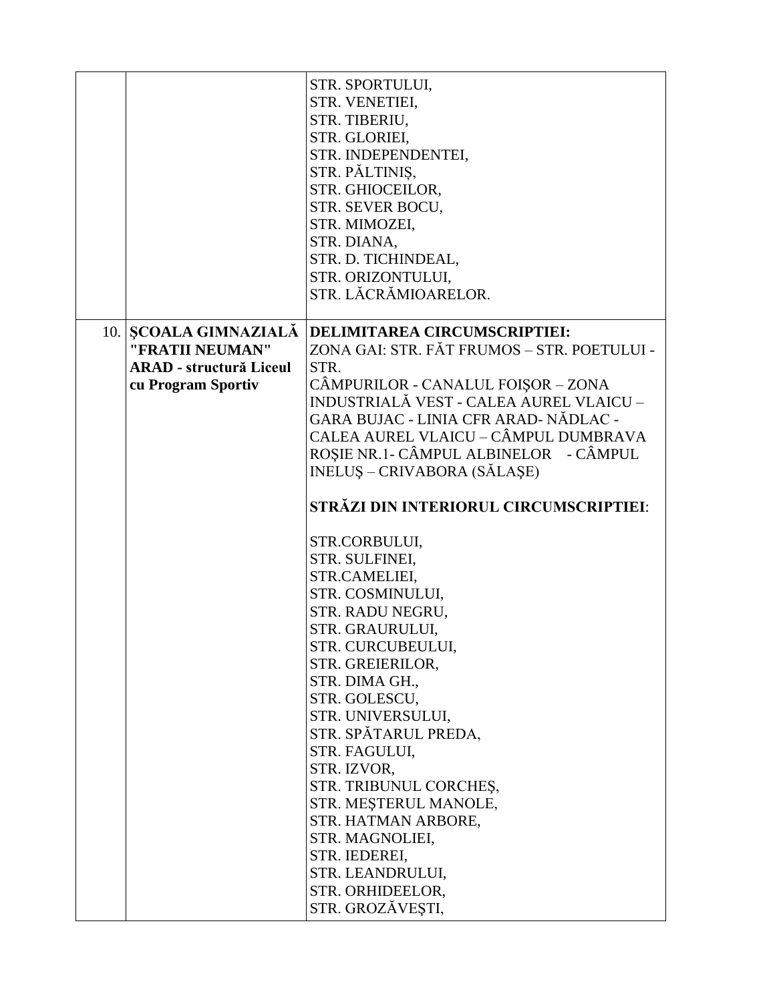|                                                                                                  | STR. SPORTULUI,<br>STR. VENETIEI,<br>STR. TIBERIU,<br>STR. GLORIEI,<br>STR. INDEPENDENTEI,<br>STR. PĂLTINIȘ,<br>STR. GHIOCEILOR,<br>STR. SEVER BOCU,                                                                                                                                                                                                                                                                                                                                                                                                                                                                                                                                                                                                                                                                       |
|--------------------------------------------------------------------------------------------------|----------------------------------------------------------------------------------------------------------------------------------------------------------------------------------------------------------------------------------------------------------------------------------------------------------------------------------------------------------------------------------------------------------------------------------------------------------------------------------------------------------------------------------------------------------------------------------------------------------------------------------------------------------------------------------------------------------------------------------------------------------------------------------------------------------------------------|
|                                                                                                  | STR. MIMOZEI,<br>STR. DIANA,<br>STR. D. TICHINDEAL,<br>STR. ORIZONTULUI,<br>STR. LĂCRĂMIOARELOR.                                                                                                                                                                                                                                                                                                                                                                                                                                                                                                                                                                                                                                                                                                                           |
| 10. SCOALA GIMNAZIALĂ<br>"FRATII NEUMAN"<br><b>ARAD</b> - structură Liceul<br>cu Program Sportiv | DELIMITAREA CIRCUMSCRIPTIEI:<br>ZONA GAI: STR. FĂT FRUMOS - STR. POETULUI -<br>STR.<br>CÂMPURILOR - CANALUL FOIȘOR – ZONA<br>INDUSTRIALĂ VEST - CALEA AUREL VLAICU -<br>GARA BUJAC - LINIA CFR ARAD- NĂDLAC -<br>CALEA AUREL VLAICU - CÂMPUL DUMBRAVA<br>ROȘIE NR.1 - CÂMPUL ALBINELOR - CÂMPUL<br>INELUȘ – CRIVABORA (SĂLAȘE)<br>STRĂZI DIN INTERIORUL CIRCUMSCRIPTIEI:<br>STR.CORBULUI,<br>STR. SULFINEI,<br>STR.CAMELIEI,<br>STR. COSMINULUI,<br>STR. RADU NEGRU,<br>STR. GRAURULUI,<br>STR. CURCUBEULUI,<br>STR. GREIERILOR,<br>STR. DIMA GH.,<br>STR. GOLESCU,<br>STR. UNIVERSULUI,<br>STR. SPÅTARUL PREDA,<br>STR. FAGULUI,<br>STR. IZVOR,<br>STR. TRIBUNUL CORCHES,<br>STR. MESTERUL MANOLE,<br>STR. HATMAN ARBORE,<br>STR. MAGNOLIEI,<br>STR. IEDEREI,<br>STR. LEANDRULUI,<br>STR. ORHIDEELOR,<br>STR. GROZĂVEȘTI, |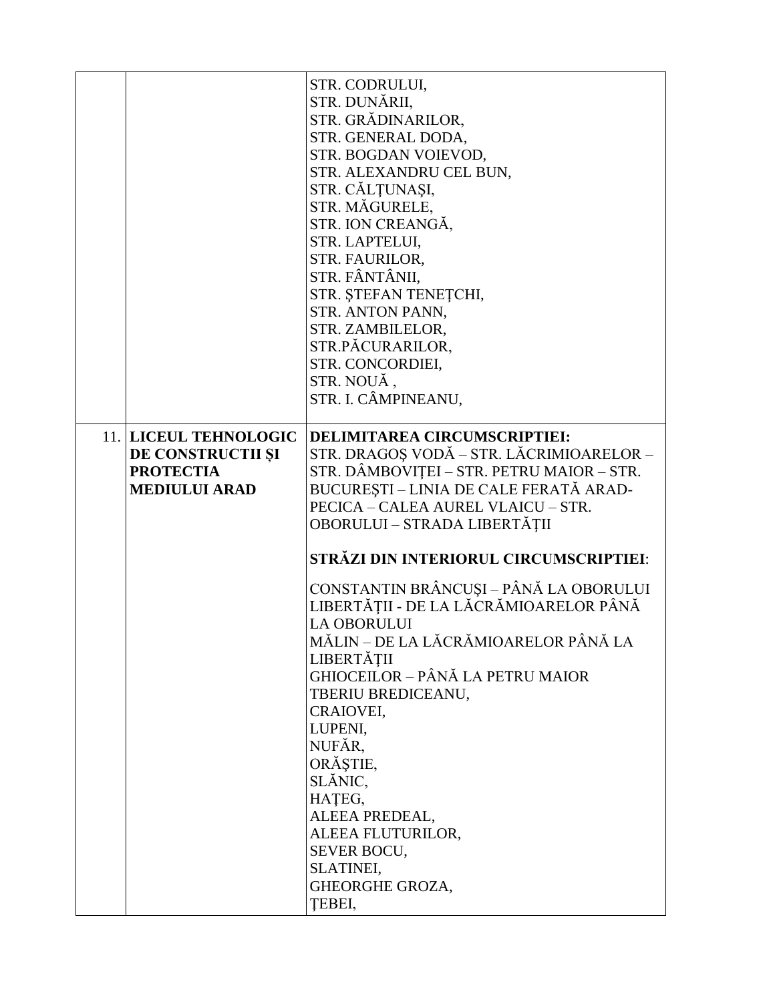|                                                                                        | STR. CODRULUI,<br>STR. DUNĂRII,<br>STR. GRĂDINARILOR,<br>STR. GENERAL DODA,<br>STR. BOGDAN VOIEVOD,<br>STR. ALEXANDRU CEL BUN,<br>STR. CĂLȚUNAȘI,<br>STR. MĂGURELE,<br>STR. ION CREANGĂ,<br>STR. LAPTELUI,<br>STR. FAURILOR,<br>STR. FÂNTÂNII,<br>STR. ȘTEFAN TENEȚCHI,<br>STR. ANTON PANN,<br>STR. ZAMBILELOR,<br>STR.PĂCURARILOR,<br>STR. CONCORDIEI,<br>STR. NOUĂ,<br>STR. I. CÂMPINEANU,                                                                                                                                                                                                                                                                                               |
|----------------------------------------------------------------------------------------|--------------------------------------------------------------------------------------------------------------------------------------------------------------------------------------------------------------------------------------------------------------------------------------------------------------------------------------------------------------------------------------------------------------------------------------------------------------------------------------------------------------------------------------------------------------------------------------------------------------------------------------------------------------------------------------------|
| 11. LICEUL TEHNOLOGIC<br>DE CONSTRUCTII ȘI<br><b>PROTECTIA</b><br><b>MEDIULUI ARAD</b> | <b>DELIMITAREA CIRCUMSCRIPTIEI:</b><br>STR. DRAGOȘ VODĂ - STR. LĂCRIMIOARELOR -<br>STR. DÂMBOVIȚEI – STR. PETRU MAIOR – STR.<br>BUCUREȘTI – LINIA DE CALE FERATĂ ARAD-<br>PECICA - CALEA AUREL VLAICU - STR.<br>OBORULUI - STRADA LIBERTĂȚII<br>STRĂZI DIN INTERIORUL CIRCUMSCRIPTIEI:<br>CONSTANTIN BRÂNCUȘI – PÂNĂ LA OBORULUI<br>LIBERTĂȚII - DE LA LĂCRĂMIOARELOR PÂNĂ<br><b>LA OBORULUI</b><br>MĂLIN – DE LA LĂCRĂMIOARELOR PÂNĂ LA<br>LIBERTĂȚII<br><b>GHIOCEILOR - PÂNĂ LA PETRU MAIOR</b><br>TBERIU BREDICEANU,<br>CRAIOVEI,<br>LUPENI,<br>NUFĂR,<br>ORĂȘTIE,<br>SLĂNIC,<br>HATEG,<br>ALEEA PREDEAL,<br>ALEEA FLUTURILOR,<br>SEVER BOCU,<br>SLATINEI,<br>GHEORGHE GROZA,<br>TEBEI, |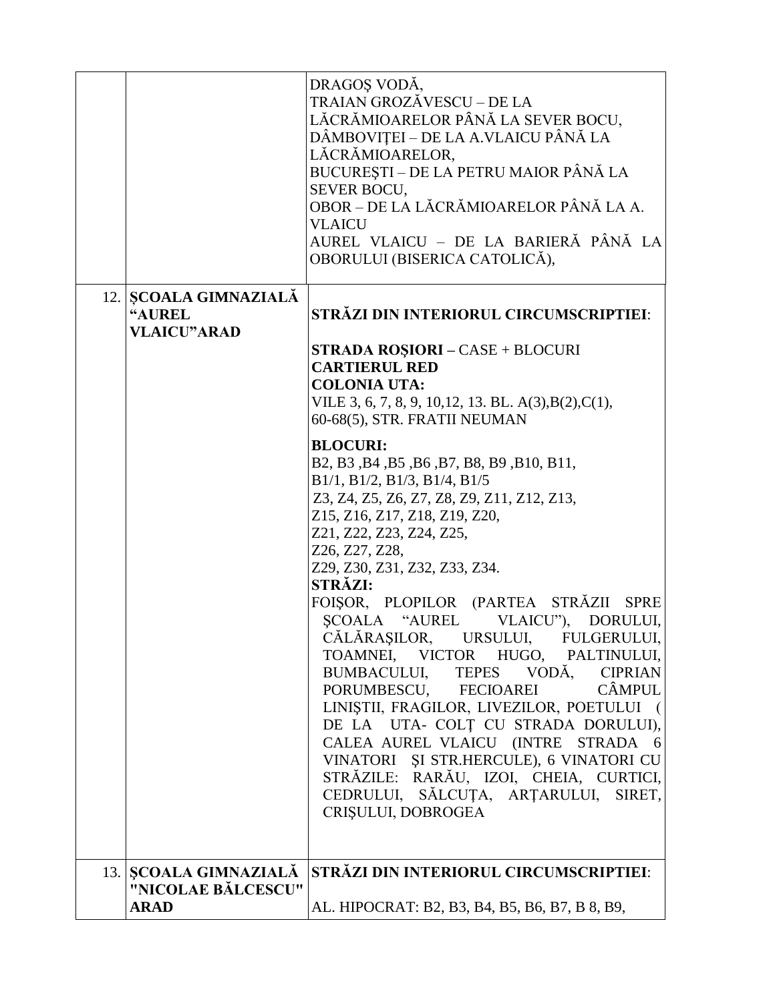|                                                            | DRAGOȘ VODĂ,<br>TRAIAN GROZĂVESCU – DE LA<br>LĂCRĂMIOARELOR PÂNĂ LA SEVER BOCU,<br>DÂMBOVIȚEI – DE LA A.VLAICU PÂNĂ LA<br>LĂCRĂMIOARELOR,<br>BUCUREȘTI – DE LA PETRU MAIOR PÂNĂ LA<br>SEVER BOCU,<br>OBOR – DE LA LĂCRĂMIOARELOR PÂNĂ LA A.<br><b>VLAICU</b><br>AUREL VLAICU - DE LA BARIERĂ PÂNĂ LA<br>OBORULUI (BISERICA CATOLICĂ),                                                                                                                                                                                                                                                                                                                                                                                                                                                                   |
|------------------------------------------------------------|---------------------------------------------------------------------------------------------------------------------------------------------------------------------------------------------------------------------------------------------------------------------------------------------------------------------------------------------------------------------------------------------------------------------------------------------------------------------------------------------------------------------------------------------------------------------------------------------------------------------------------------------------------------------------------------------------------------------------------------------------------------------------------------------------------|
| 12. SCOALA GIMNAZIALĂ<br>"AUREL<br><b>VLAICU"ARAD</b>      | STRĂZI DIN INTERIORUL CIRCUMSCRIPTIEI:                                                                                                                                                                                                                                                                                                                                                                                                                                                                                                                                                                                                                                                                                                                                                                  |
|                                                            | <b>STRADA ROȘIORI – CASE + BLOCURI</b><br><b>CARTIERUL RED</b><br><b>COLONIA UTA:</b><br>VILE 3, 6, 7, 8, 9, 10, 12, 13. BL. A(3), B(2), C(1),<br>60-68(5), STR. FRATII NEUMAN                                                                                                                                                                                                                                                                                                                                                                                                                                                                                                                                                                                                                          |
|                                                            | <b>BLOCURI:</b><br>B2, B3, B4, B5, B6, B7, B8, B9, B10, B11,<br>B1/1, B1/2, B1/3, B1/4, B1/5<br>Z3, Z4, Z5, Z6, Z7, Z8, Z9, Z11, Z12, Z13,<br>Z15, Z16, Z17, Z18, Z19, Z20,<br>Z21, Z22, Z23, Z24, Z25,<br>Z26, Z27, Z28,<br>Z29, Z30, Z31, Z32, Z33, Z34.<br><b>STRAZI:</b><br>FOISOR, PLOPILOR (PARTEA STRĂZII SPRE<br>SCOALA "AUREL VLAICU"), DORULUI,<br>CĂLĂRAȘILOR, URSULUI, FULGERULUI,<br>TOAMNEI, VICTOR HUGO, PALTINULUI,<br>BUMBACULUI, TEPES VODĂ,<br><b>CIPRIAN</b><br>PORUMBESCU, FECIOAREI<br><b>CÂMPUL</b><br>LINIȘTII, FRAGILOR, LIVEZILOR, POETULUI (<br>DE LA UTA- COLȚ CU STRADA DORULUI),<br>CALEA AUREL VLAICU (INTRE STRADA 6<br>VINATORI ȘI STR.HERCULE), 6 VINATORI CU<br>STRĂZILE: RARĂU, IZOI, CHEIA, CURTICI,<br>CEDRULUI, SĂLCUȚA, ARȚARULUI, SIRET,<br>CRIȘULUI, DOBROGEA |
| 13. SCOALA GIMNAZIALĂ<br>"NICOLAE BĂLCESCU"<br><b>ARAD</b> | STRĂZI DIN INTERIORUL CIRCUMSCRIPTIEI:<br>AL. HIPOCRAT: B2, B3, B4, B5, B6, B7, B 8, B9,                                                                                                                                                                                                                                                                                                                                                                                                                                                                                                                                                                                                                                                                                                                |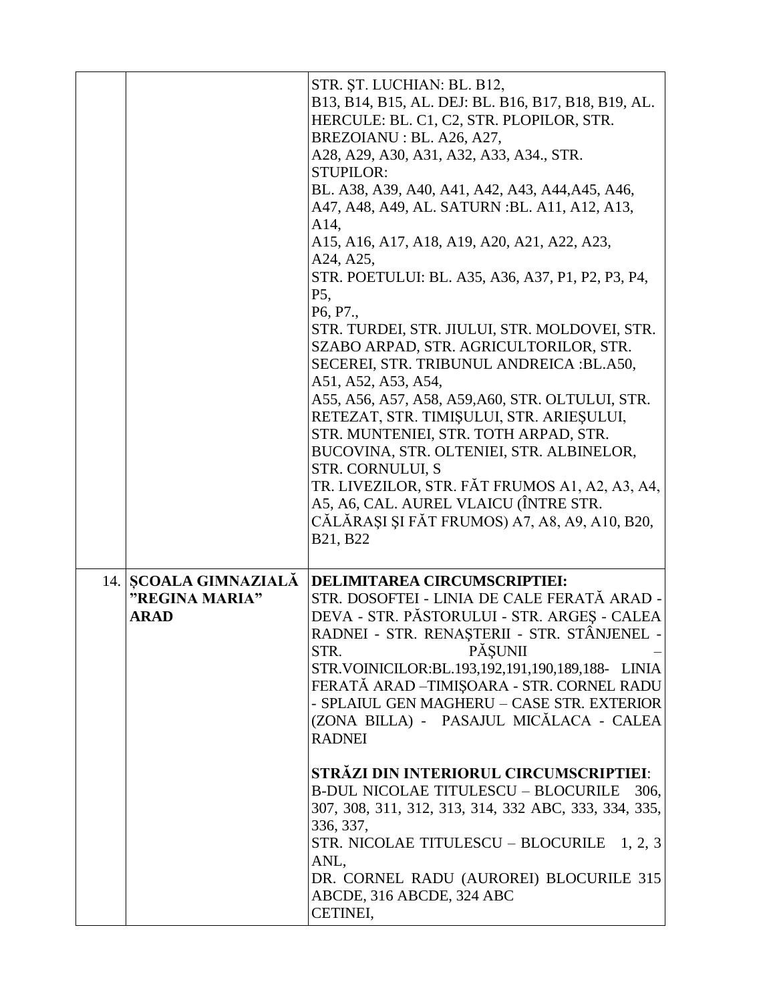|                                                        | STR. ȘT. LUCHIAN: BL. B12,<br>B13, B14, B15, AL. DEJ: BL. B16, B17, B18, B19, AL.<br>HERCULE: BL. C1, C2, STR. PLOPILOR, STR.<br>BREZOIANU: BL. A26, A27,<br>A28, A29, A30, A31, A32, A33, A34., STR.<br><b>STUPILOR:</b><br>BL. A38, A39, A40, A41, A42, A43, A44, A45, A46,<br>A47, A48, A49, AL. SATURN : BL. A11, A12, A13,<br>A14,<br>A15, A16, A17, A18, A19, A20, A21, A22, A23,<br>A24, A25,<br>STR. POETULUI: BL. A35, A36, A37, P1, P2, P3, P4,<br>P5,<br>P6, P7.,<br>STR. TURDEI, STR. JIULUI, STR. MOLDOVEI, STR.<br>SZABO ARPAD, STR. AGRICULTORILOR, STR.<br>SECEREI, STR. TRIBUNUL ANDREICA : BL.A50,<br>A51, A52, A53, A54,<br>A55, A56, A57, A58, A59, A60, STR. OLTULUI, STR.<br>RETEZAT, STR. TIMIŞULUI, STR. ARIEŞULUI,<br>STR. MUNTENIEI, STR. TOTH ARPAD, STR.<br>BUCOVINA, STR. OLTENIEI, STR. ALBINELOR,<br>STR. CORNULUI, S<br>TR. LIVEZILOR, STR. FĂT FRUMOS A1, A2, A3, A4,<br>A5, A6, CAL. AUREL VLAICU (ÎNTRE STR.<br>CĂLĂRAȘI ȘI FĂT FRUMOS) A7, A8, A9, A10, B20,<br>B21, B22 |
|--------------------------------------------------------|--------------------------------------------------------------------------------------------------------------------------------------------------------------------------------------------------------------------------------------------------------------------------------------------------------------------------------------------------------------------------------------------------------------------------------------------------------------------------------------------------------------------------------------------------------------------------------------------------------------------------------------------------------------------------------------------------------------------------------------------------------------------------------------------------------------------------------------------------------------------------------------------------------------------------------------------------------------------------------------------------------------|
| 14. SCOALA GIMNAZIALĂ<br>"REGINA MARIA"<br><b>ARAD</b> | <b>DELIMITAREA CIRCUMSCRIPTIEI:</b><br>STR. DOSOFTEI - LINIA DE CALE FERATĂ ARAD -<br>DEVA - STR. PĂSTORULUI - STR. ARGEȘ - CALEA<br>RADNEI - STR. RENAȘTERII - STR. STÂNJENEL -<br>PĂȘUNII<br>STR.<br>STR.VOINICILOR:BL.193,192,191,190,189,188- LINIA<br>FERATĂ ARAD - TIMIȘOARA - STR. CORNEL RADU<br>- SPLAIUL GEN MAGHERU - CASE STR. EXTERIOR<br>(ZONA BILLA) - PASAJUL MICĂLACA - CALEA<br><b>RADNEI</b><br>STRĂZI DIN INTERIORUL CIRCUMSCRIPTIEI:<br><b>B-DUL NICOLAE TITULESCU - BLOCURILE</b><br>306.<br>307, 308, 311, 312, 313, 314, 332 ABC, 333, 334, 335,<br>336, 337,<br>STR. NICOLAE TITULESCU – BLOCURILE 1, 2, 3<br>ANL,<br>DR. CORNEL RADU (AUROREI) BLOCURILE 315<br>ABCDE, 316 ABCDE, 324 ABC<br>CETINEI,                                                                                                                                                                                                                                                                              |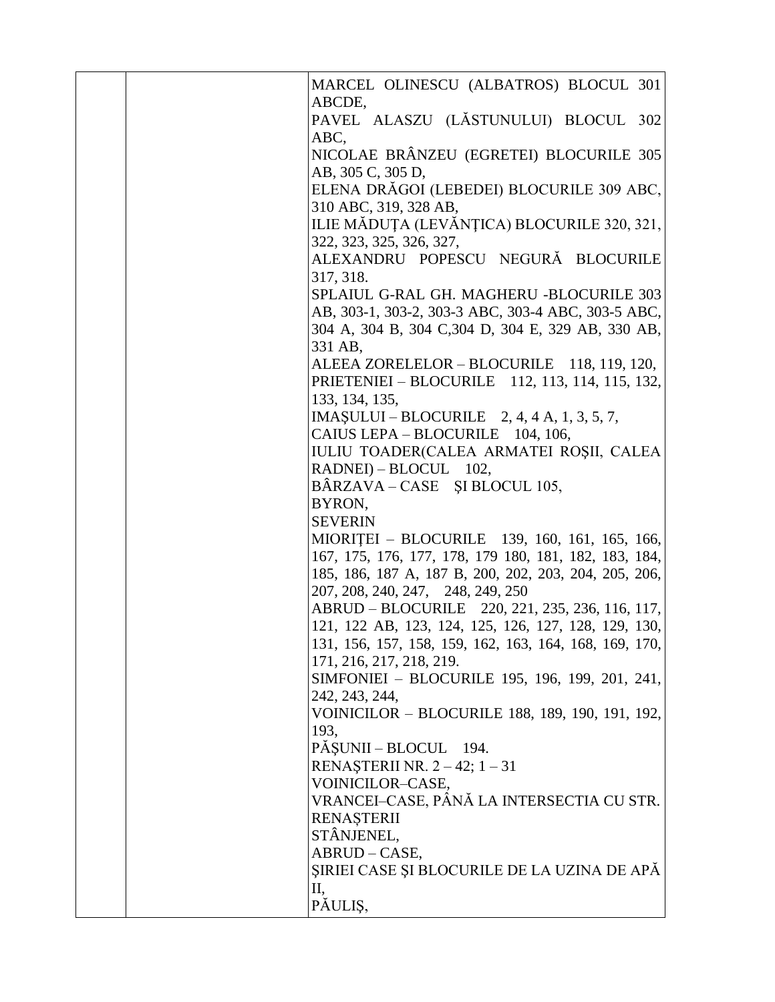| MARCEL OLINESCU (ALBATROS) BLOCUL 301                             |
|-------------------------------------------------------------------|
| ABCDE,<br>PAVEL ALASZU (LĂSTUNULUI) BLOCUL 302                    |
| ABC.                                                              |
| NICOLAE BRÂNZEU (EGRETEI) BLOCURILE 305                           |
| AB, 305 C, 305 D,                                                 |
| ELENA DRĂGOI (LEBEDEI) BLOCURILE 309 ABC,                         |
| 310 ABC, 319, 328 AB,                                             |
| ILIE MĂDUȚA (LEVĂNȚICA) BLOCURILE 320, 321,                       |
| 322, 323, 325, 326, 327,<br>ALEXANDRU POPESCU NEGURĂ BLOCURILE    |
| 317, 318.                                                         |
| SPLAIUL G-RAL GH. MAGHERU -BLOCURILE 303                          |
| AB, 303-1, 303-2, 303-3 ABC, 303-4 ABC, 303-5 ABC,                |
| 304 A, 304 B, 304 C, 304 D, 304 E, 329 AB, 330 AB,                |
| 331 AB,                                                           |
| ALEEA ZORELELOR - BLOCURILE 118, 119, 120,                        |
| PRIETENIEI - BLOCURILE 112, 113, 114, 115, 132,                   |
| 133, 134, 135,                                                    |
| $IMASULUI - BLOCURILE$ 2, 4, 4 A, 1, 3, 5, 7,                     |
| CAIUS LEPA - BLOCURILE 104, 106,                                  |
| IULIU TOADER(CALEA ARMATEI ROȘII, CALEA                           |
| RADNEI) - BLOCUL 102,<br>BÂRZAVA – CASE ȘI BLOCUL 105,            |
| BYRON,                                                            |
| <b>SEVERIN</b>                                                    |
| MIORITEI - BLOCURILE 139, 160, 161, 165, 166,                     |
| 167, 175, 176, 177, 178, 179 180, 181, 182, 183, 184,             |
| 185, 186, 187 A, 187 B, 200, 202, 203, 204, 205, 206,             |
| 207, 208, 240, 247, 248, 249, 250                                 |
| ABRUD – BLOCURILE 220, 221, 235, 236, 116, 117,                   |
| 121, 122 AB, 123, 124, 125, 126, 127, 128, 129, 130,              |
| 131, 156, 157, 158, 159, 162, 163, 164, 168, 169, 170,            |
| 171, 216, 217, 218, 219.                                          |
| SIMFONIEI - BLOCURILE 195, 196, 199, 201, 241,                    |
| 242, 243, 244,<br>VOINICILOR - BLOCURILE 188, 189, 190, 191, 192, |
| 193,                                                              |
| PĂȘUNII – BLOCUL 194.                                             |
| RENAȘTERII NR. $2-42$ ; $1-31$                                    |
| VOINICILOR-CASE,                                                  |
| VRANCEI–CASE, PÂNĂ LA INTERSECTIA CU STR.                         |
| <b>RENAȘTERII</b>                                                 |
| STÂNJENEL,                                                        |
| ABRUD-CASE,                                                       |
| ȘIRIEI CASE ȘI BLOCURILE DE LA UZINA DE APĂ                       |
| Π,                                                                |
| PĂULIȘ,                                                           |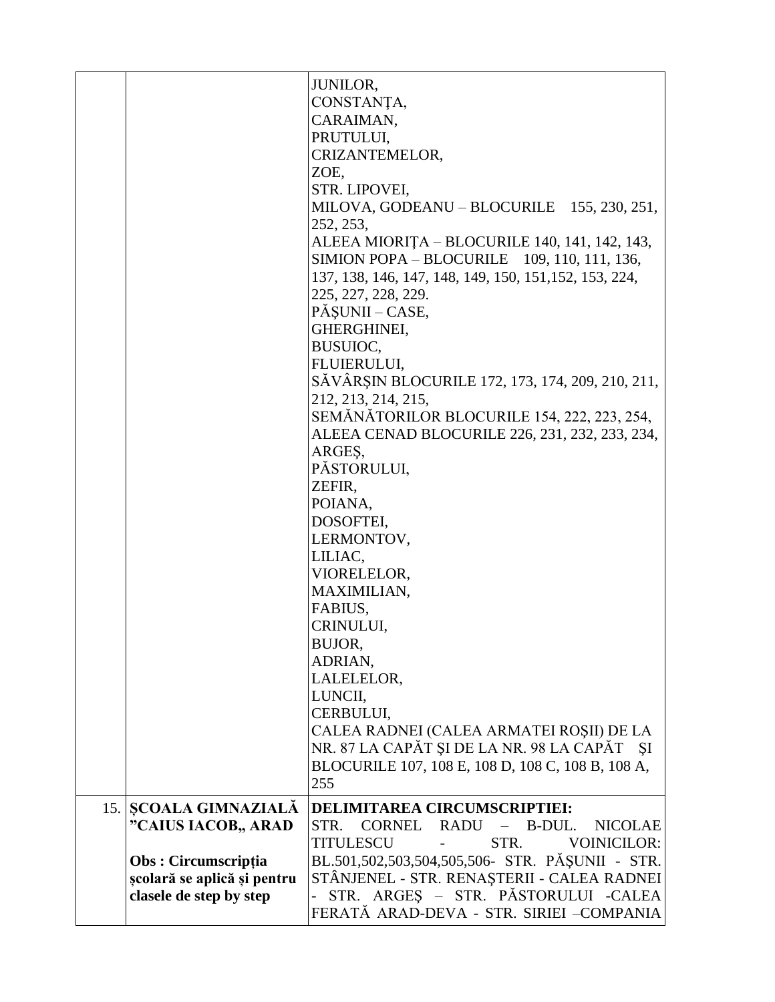|                             | JUNILOR,                                               |
|-----------------------------|--------------------------------------------------------|
|                             | CONSTANTA,                                             |
|                             | CARAIMAN,                                              |
|                             | PRUTULUI,                                              |
|                             | CRIZANTEMELOR,                                         |
|                             | ZOE,                                                   |
|                             | STR. LIPOVEI,                                          |
|                             | MILOVA, GODEANU – BLOCURILE 155, 230, 251,             |
|                             |                                                        |
|                             | 252, 253,                                              |
|                             | ALEEA MIORITA - BLOCURILE 140, 141, 142, 143,          |
|                             | SIMION POPA - BLOCURILE 109, 110, 111, 136,            |
|                             | 137, 138, 146, 147, 148, 149, 150, 151, 152, 153, 224, |
|                             | 225, 227, 228, 229.                                    |
|                             | PĂȘUNII – CASE,                                        |
|                             | <b>GHERGHINEI,</b>                                     |
|                             | BUSUIOC,                                               |
|                             | FLUIERULUI,                                            |
|                             | SĂVÂRȘIN BLOCURILE 172, 173, 174, 209, 210, 211,       |
|                             | 212, 213, 214, 215,                                    |
|                             | SEMĂNĂTORILOR BLOCURILE 154, 222, 223, 254,            |
|                             | ALEEA CENAD BLOCURILE 226, 231, 232, 233, 234,         |
|                             | ARGES,                                                 |
|                             | PĂSTORULUI,                                            |
|                             | ZEFIR,                                                 |
|                             |                                                        |
|                             | POIANA,                                                |
|                             | DOSOFTEI,                                              |
|                             | LERMONTOV,                                             |
|                             | LILIAC,                                                |
|                             | VIORELELOR,                                            |
|                             | MAXIMILIAN,                                            |
|                             | FABIUS,                                                |
|                             | CRINULUI,                                              |
|                             | BUJOR,                                                 |
|                             | ADRIAN,                                                |
|                             | LALELELOR,                                             |
|                             | LUNCII,                                                |
|                             | CERBULUI,                                              |
|                             | CALEA RADNEI (CALEA ARMATEI ROȘII) DE LA               |
|                             | NR. 87 LA CAPĂT ȘI DE LA NR. 98 LA CAPĂT ȘI            |
|                             | BLOCURILE 107, 108 E, 108 D, 108 C, 108 B, 108 A,      |
|                             | 255                                                    |
|                             |                                                        |
| 15. SCOALA GIMNAZIALĂ       | <b>DELIMITAREA CIRCUMSCRIPTIEI:</b><br>STR.<br>B-DUL.  |
| "CAIUS IACOB,, ARAD         | <b>CORNEL</b><br>$RADU -$<br><b>NICOLAE</b>            |
|                             | <b>TITULESCU</b><br>STR.<br><b>VOINICILOR:</b>         |
| Obs: Circumscripția         | BL.501,502,503,504,505,506- STR. PĂȘUNII - STR.        |
| școlară se aplică și pentru | STÂNJENEL - STR. RENAȘTERII - CALEA RADNEI             |
| clasele de step by step     | STR. ARGEȘ – STR. PĂSTORULUI -CALEA                    |
|                             | FERATĂ ARAD-DEVA - STR. SIRIEI -COMPANIA               |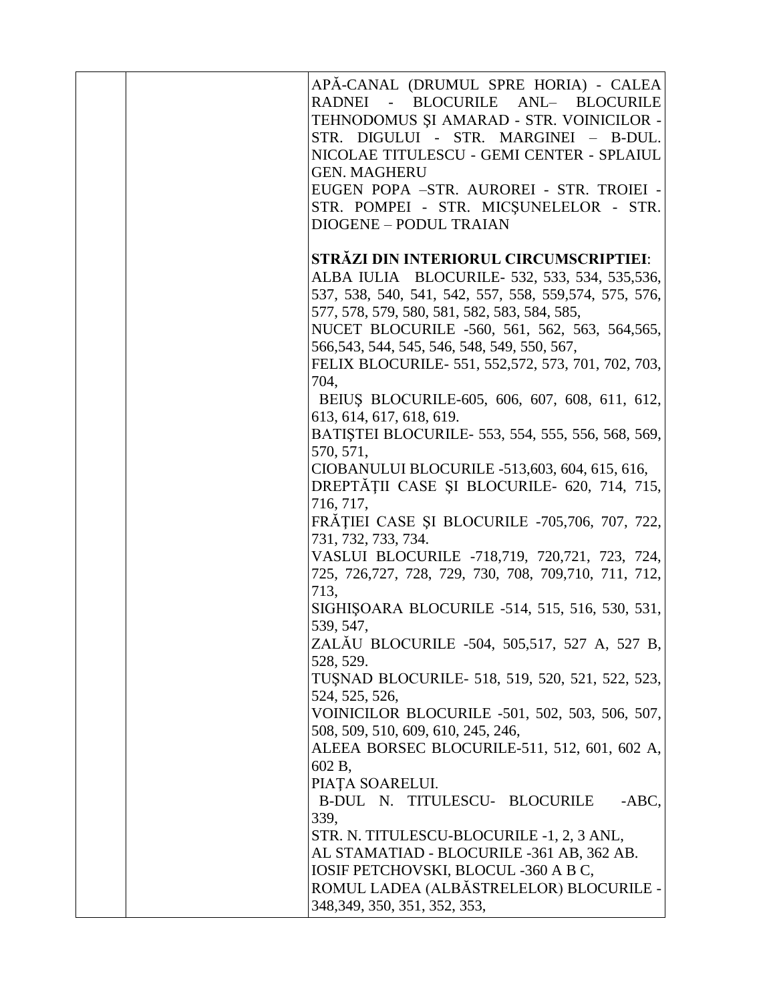|  | APĂ-CANAL (DRUMUL SPRE HORIA) - CALEA<br>- BLOCURILE ANL- BLOCURILE<br><b>RADNEI</b><br>TEHNODOMUS ȘI AMARAD - STR. VOINICILOR -<br>STR. DIGULUI - STR. MARGINEI - B-DUL.<br>NICOLAE TITULESCU - GEMI CENTER - SPLAIUL<br><b>GEN. MAGHERU</b><br>EUGEN POPA -STR. AUROREI - STR. TROIEI -<br>STR. POMPEI - STR. MICȘUNELELOR - STR. |
|--|-------------------------------------------------------------------------------------------------------------------------------------------------------------------------------------------------------------------------------------------------------------------------------------------------------------------------------------|
|  | DIOGENE - PODUL TRAIAN                                                                                                                                                                                                                                                                                                              |
|  | STRĂZI DIN INTERIORUL CIRCUMSCRIPTIEI:<br>ALBA IULIA BLOCURILE- 532, 533, 534, 535,536,<br>537, 538, 540, 541, 542, 557, 558, 559, 574, 575, 576,<br>577, 578, 579, 580, 581, 582, 583, 584, 585,                                                                                                                                   |
|  | NUCET BLOCURILE -560, 561, 562, 563, 564,565,<br>566, 543, 544, 545, 546, 548, 549, 550, 567,                                                                                                                                                                                                                                       |
|  | FELIX BLOCURILE-551, 552,572, 573, 701, 702, 703,<br>704,                                                                                                                                                                                                                                                                           |
|  | BEIUS BLOCURILE-605, 606, 607, 608, 611, 612,                                                                                                                                                                                                                                                                                       |
|  | 613, 614, 617, 618, 619.<br>BATIȘTEI BLOCURILE - 553, 554, 555, 556, 568, 569,                                                                                                                                                                                                                                                      |
|  | 570, 571,                                                                                                                                                                                                                                                                                                                           |
|  | CIOBANULUI BLOCURILE -513,603, 604, 615, 616,<br>DREPTĂȚII CASE ȘI BLOCURILE- 620, 714, 715,                                                                                                                                                                                                                                        |
|  | 716, 717,<br>FRĂȚIEI CASE ȘI BLOCURILE -705,706, 707, 722,                                                                                                                                                                                                                                                                          |
|  | 731, 732, 733, 734.                                                                                                                                                                                                                                                                                                                 |
|  | VASLUI BLOCURILE -718,719, 720,721, 723, 724,<br>725, 726, 727, 728, 729, 730, 708, 709, 710, 711, 712,                                                                                                                                                                                                                             |
|  | 713,                                                                                                                                                                                                                                                                                                                                |
|  | SIGHISOARA BLOCURILE -514, 515, 516, 530, 531,<br>539, 547,                                                                                                                                                                                                                                                                         |
|  | ZALĂU BLOCURILE -504, 505,517, 527 A, 527 B,<br>528, 529.                                                                                                                                                                                                                                                                           |
|  | TUŞNAD BLOCURILE- 518, 519, 520, 521, 522, 523,                                                                                                                                                                                                                                                                                     |
|  | 524, 525, 526,<br>VOINICILOR BLOCURILE -501, 502, 503, 506, 507,                                                                                                                                                                                                                                                                    |
|  | 508, 509, 510, 609, 610, 245, 246,                                                                                                                                                                                                                                                                                                  |
|  | ALEEA BORSEC BLOCURILE-511, 512, 601, 602 A,<br>602 B,                                                                                                                                                                                                                                                                              |
|  | PIATA SOARELUI.                                                                                                                                                                                                                                                                                                                     |
|  | B-DUL N. TITULESCU- BLOCURILE<br>$-ABC$<br>339,                                                                                                                                                                                                                                                                                     |
|  | STR. N. TITULESCU-BLOCURILE -1, 2, 3 ANL,                                                                                                                                                                                                                                                                                           |
|  | AL STAMATIAD - BLOCURILE -361 AB, 362 AB.<br>IOSIF PETCHOVSKI, BLOCUL -360 A B C,                                                                                                                                                                                                                                                   |
|  | ROMUL LADEA (ALBĂSTRELELOR) BLOCURILE -<br>348, 349, 350, 351, 352, 353,                                                                                                                                                                                                                                                            |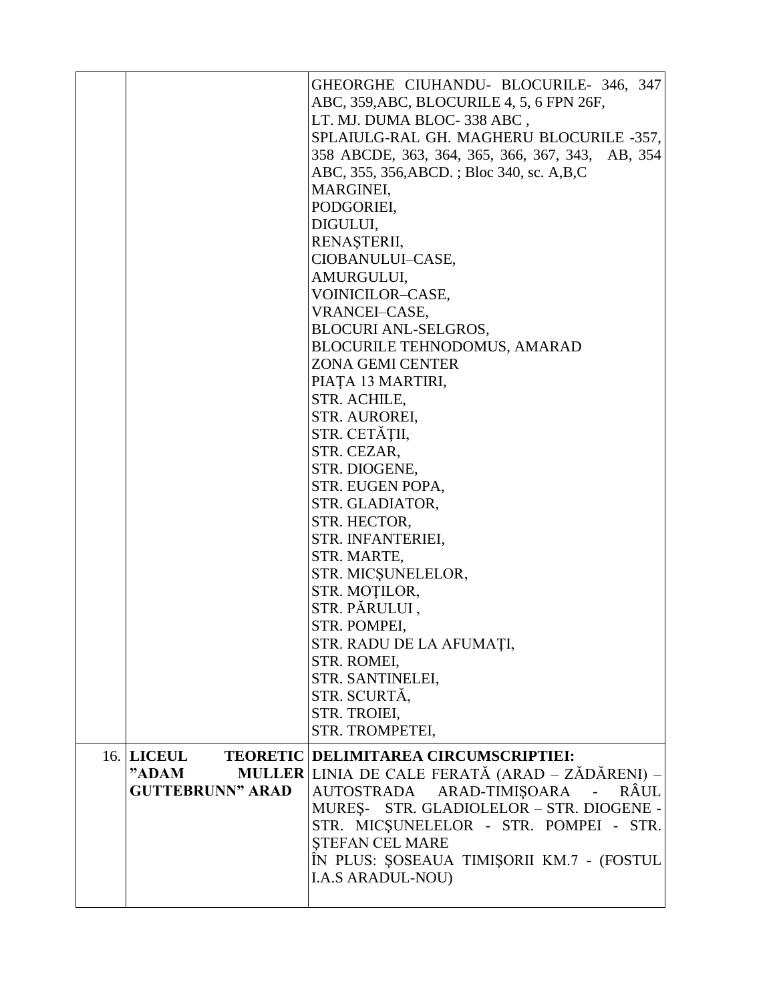|                         | GHEORGHE CIUHANDU- BLOCURILE- 346, 347           |
|-------------------------|--------------------------------------------------|
|                         | ABC, 359, ABC, BLOCURILE 4, 5, 6 FPN 26F,        |
|                         | LT. MJ. DUMA BLOC-338 ABC,                       |
|                         | SPLAIULG-RAL GH. MAGHERU BLOCURILE -357,         |
|                         |                                                  |
|                         | 358 ABCDE, 363, 364, 365, 366, 367, 343, AB, 354 |
|                         | ABC, 355, 356, ABCD.; Bloc 340, sc. A, B, C      |
|                         | MARGINEI,                                        |
|                         | PODGORIEI,                                       |
|                         | DIGULUI,                                         |
|                         | RENAȘTERII,                                      |
|                         | CIOBANULUI-CASE,                                 |
|                         |                                                  |
|                         | AMURGULUI,                                       |
|                         | VOINICILOR-CASE,                                 |
|                         | VRANCEI-CASE,                                    |
|                         | <b>BLOCURI ANL-SELGROS,</b>                      |
|                         | <b>BLOCURILE TEHNODOMUS, AMARAD</b>              |
|                         | <b>ZONA GEMI CENTER</b>                          |
|                         | PIATA 13 MARTIRI,                                |
|                         | STR. ACHILE,                                     |
|                         |                                                  |
|                         | STR. AUROREI,                                    |
|                         | STR. CETĂȚII,                                    |
|                         | STR. CEZAR,                                      |
|                         | STR. DIOGENE,                                    |
|                         | STR. EUGEN POPA,                                 |
|                         | STR. GLADIATOR,                                  |
|                         | STR. HECTOR,                                     |
|                         | STR. INFANTERIEI,                                |
|                         | STR. MARTE,                                      |
|                         | STR. MICŞUNELELOR,                               |
|                         |                                                  |
|                         | STR. MOTILOR,                                    |
|                         | STR. PĂRULUI,                                    |
|                         | STR. POMPEI,                                     |
|                         | STR. RADU DE LA AFUMAȚI,                         |
|                         | STR. ROMEI,                                      |
|                         | STR. SANTINELEI,                                 |
|                         | STR. SCURTĂ,                                     |
|                         | STR. TROIEI,                                     |
|                         | STR. TROMPETEI,                                  |
|                         |                                                  |
| <b>16. LICEUL</b>       | <b>TEORETIC DELIMITAREA CIRCUMSCRIPTIEI:</b>     |
| "ADAM                   | MULLER LINIA DE CALE FERATĂ (ARAD – ZĂDĂRENI) –  |
| <b>GUTTEBRUNN" ARAD</b> | AUTOSTRADA ARAD-TIMIȘOARA -<br>RÂUL              |
|                         | MUREȘ- STR. GLADIOLELOR - STR. DIOGENE -         |
|                         | STR. MICȘUNELELOR - STR. POMPEI - STR.           |
|                         | <b>ŞTEFAN CEL MARE</b>                           |
|                         | ÎN PLUS: ȘOSEAUA TIMIȘORII KM.7 - (FOSTUL        |
|                         | <b>I.A.S ARADUL-NOU)</b>                         |
|                         |                                                  |
|                         |                                                  |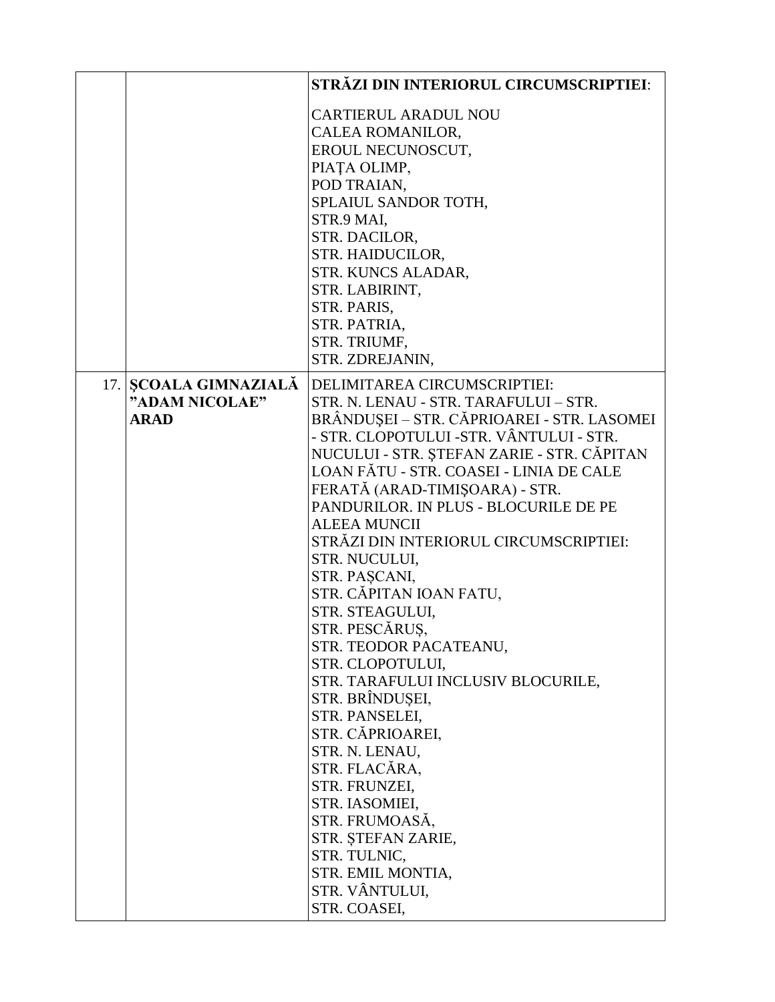|                                                        | STRĂZI DIN INTERIORUL CIRCUMSCRIPTIEI:                                                                                                                                                                                                                                                                                                                                                                                                                                                                                                                                                                                                                                                                                                                                                                                                  |
|--------------------------------------------------------|-----------------------------------------------------------------------------------------------------------------------------------------------------------------------------------------------------------------------------------------------------------------------------------------------------------------------------------------------------------------------------------------------------------------------------------------------------------------------------------------------------------------------------------------------------------------------------------------------------------------------------------------------------------------------------------------------------------------------------------------------------------------------------------------------------------------------------------------|
|                                                        | <b>CARTIERUL ARADUL NOU</b><br>CALEA ROMANILOR,<br>EROUL NECUNOSCUT,<br>PIATA OLIMP,<br>POD TRAIAN,<br>SPLAIUL SANDOR TOTH,<br>STR.9 MAI,<br>STR. DACILOR,<br>STR. HAIDUCILOR,<br>STR. KUNCS ALADAR,<br>STR. LABIRINT,<br>STR. PARIS,<br>STR. PATRIA,<br>STR. TRIUMF,<br>STR. ZDREJANIN,                                                                                                                                                                                                                                                                                                                                                                                                                                                                                                                                                |
| 17. SCOALA GIMNAZIALĂ<br>"ADAM NICOLAE"<br><b>ARAD</b> | DELIMITAREA CIRCUMSCRIPTIEI:<br>STR. N. LENAU - STR. TARAFULUI - STR.<br>BRÂNDUȘEI – STR. CĂPRIOAREI - STR. LASOMEI<br>- STR. CLOPOTULUI -STR. VÂNTULUI - STR.<br>NUCULUI - STR. ȘTEFAN ZARIE - STR. CĂPITAN<br>LOAN FĂTU - STR. COASEI - LINIA DE CALE<br>FERATĂ (ARAD-TIMIȘOARA) - STR.<br>PANDURILOR. IN PLUS - BLOCURILE DE PE<br><b>ALEEA MUNCII</b><br>STRĂZI DIN INTERIORUL CIRCUMSCRIPTIEI:<br>STR. NUCULUI,<br>STR. PAȘCANI,<br>STR. CĂPITAN IOAN FATU,<br>STR. STEAGULUI,<br>STR. PESCĂRUS,<br>STR. TEODOR PACATEANU,<br>STR. CLOPOTULUI,<br>STR. TARAFULUI INCLUSIV BLOCURILE,<br>STR. BRÎNDUȘEI,<br>STR. PANSELEI,<br>STR. CĂPRIOAREI,<br>STR. N. LENAU,<br>STR. FLACĂRA,<br>STR. FRUNZEI,<br>STR. IASOMIEI,<br>STR. FRUMOASĂ,<br>STR. ȘTEFAN ZARIE,<br>STR. TULNIC,<br>STR. EMIL MONTIA,<br>STR. VÂNTULUI,<br>STR. COASEI, |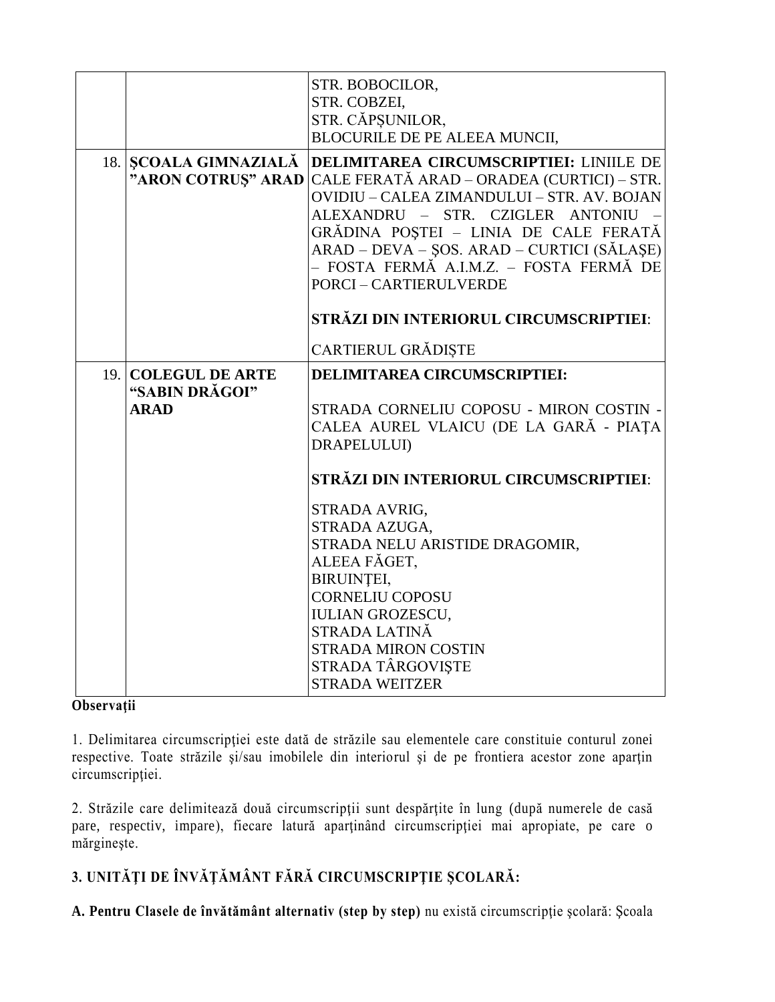|                                       | STR. BOBOCILOR,<br>STR. COBZEI,<br>STR. CĂPȘUNILOR,<br><b>BLOCURILE DE PE ALEEA MUNCII,</b>                                                                                                                                                                                                                                                                                                           |
|---------------------------------------|-------------------------------------------------------------------------------------------------------------------------------------------------------------------------------------------------------------------------------------------------------------------------------------------------------------------------------------------------------------------------------------------------------|
| 18. SCOALA GIMNAZIALĂ                 | DELIMITAREA CIRCUMSCRIPTIEI: LINIILE DE<br>"ARON COTRUS" ARAD CALE FERATĂ ARAD – ORADEA (CURTICI) – STR.<br>OVIDIU - CALEA ZIMANDULUI - STR. AV. BOJAN<br>ALEXANDRU - STR. CZIGLER ANTONIU<br>GRĂDINA POȘTEI - LINIA DE CALE FERATĂ<br>ARAD - DEVA - ȘOS. ARAD - CURTICI (SĂLAȘE)<br>- FOSTA FERMĂ A.I.M.Z. - FOSTA FERMĂ DE<br><b>PORCI-CARTIERULVERDE</b><br>STRĂZI DIN INTERIORUL CIRCUMSCRIPTIEI: |
|                                       |                                                                                                                                                                                                                                                                                                                                                                                                       |
|                                       | CARTIERUL GRĂDIȘTE                                                                                                                                                                                                                                                                                                                                                                                    |
| 19. COLEGUL DE ARTE<br>"SABIN DRĂGOI" | <b>DELIMITAREA CIRCUMSCRIPTIEI:</b>                                                                                                                                                                                                                                                                                                                                                                   |
| <b>ARAD</b>                           | STRADA CORNELIU COPOSU - MIRON COSTIN -<br>CALEA AUREL VLAICU (DE LA GARĂ - PIAȚA<br>DRAPELULUI)                                                                                                                                                                                                                                                                                                      |
|                                       | STRĂZI DIN INTERIORUL CIRCUMSCRIPTIEI:                                                                                                                                                                                                                                                                                                                                                                |
|                                       | STRADA AVRIG,<br>STRADA AZUGA,<br>STRADA NELU ARISTIDE DRAGOMIR,<br>ALEEA FĂGET,<br><b>BIRUINTEI,</b><br><b>CORNELIU COPOSU</b><br><b>IULIAN GROZESCU,</b><br>STRADA LATINĂ<br><b>STRADA MIRON COSTIN</b><br>STRADA TÂRGOVIȘTE<br><b>STRADA WEITZER</b>                                                                                                                                               |

**Observaţii**

1. Delimitarea circumscripţiei este dată de străzile sau elementele care constituie conturul zonei respective. Toate străzile şi/sau imobilele din interiorul şi de pe frontiera acestor zone aparţin circumscripţiei.

2. Străzile care delimitează două circumscripţii sunt despărţite în lung (după numerele de casă pare, respectiv, impare), fiecare latură aparţinând circumscripţiei mai apropiate, pe care o mărgineşte.

## **3. UNITĂŢI DE ÎNVĂŢĂMÂNT FĂRĂ CIRCUMSCRIPŢIE ŞCOLARĂ:**

**A. Pentru Clasele de învătământ alternativ (step by step)** nu există circumscripţie şcolară: Şcoala